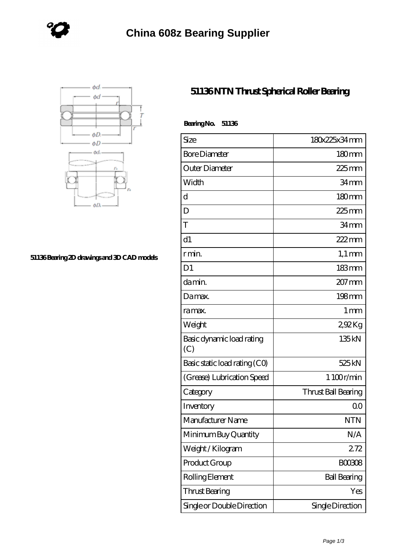



## **[51136 Bearing 2D drawings and 3D CAD models](https://www.holyland-wholesale.com/pic-1113997.html)**

## **[51136 NTN Thrust Spherical Roller Bearing](https://www.holyland-wholesale.com/tapered-roller-bearing/51136.html)**

| BearingNo.<br>51136              |                     |
|----------------------------------|---------------------|
| Size                             | 180x225x34mm        |
| <b>Bore Diameter</b>             | 180 <sub>mm</sub>   |
| Outer Diameter                   | 225 mm              |
| Width                            | 34mm                |
| d                                | $180 \text{mm}$     |
| D                                | $225$ mm            |
| T                                | 34mm                |
| d1                               | 222mm               |
| r min.                           | $1,1 \text{ mm}$    |
| D <sub>1</sub>                   | 183mm               |
| da min.                          | $207 \,\mathrm{mm}$ |
| Damax.                           | 198mm               |
| ra max.                          | $1 \,\mathrm{mm}$   |
| Weight                           | 292Kg               |
| Basic dynamic load rating<br>(C) | 135kN               |
| Basic static load rating (CO)    | 525 kN              |
| (Grease) Lubrication Speed       | 1 100r/min          |
| Category                         | Thrust Ball Bearing |
| Inventory                        | 0 <sup>0</sup>      |
| Manufacturer Name                | NTN                 |
| Minimum Buy Quantity             | N/A                 |
| Weight / Kilogram                | 272                 |
| Product Group                    | <b>BOO3O8</b>       |
| Rolling Element                  | <b>Ball Bearing</b> |
| Thrust Bearing                   | Yes                 |
| Single or Double Direction       | Single Direction    |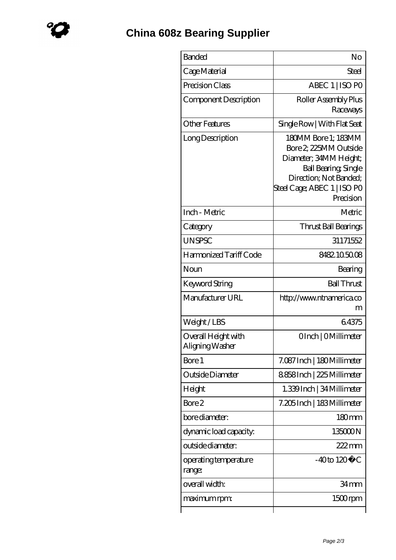| <b>Banded</b>                          | No                                                                                                                                                                          |
|----------------------------------------|-----------------------------------------------------------------------------------------------------------------------------------------------------------------------------|
| Cage Material                          | Steel                                                                                                                                                                       |
| Precision Class                        | ABEC 1   ISO PO                                                                                                                                                             |
| Component Description                  | Roller Assembly Plus<br>Raceways                                                                                                                                            |
| <b>Other Features</b>                  | Single Row   With Flat Seat                                                                                                                                                 |
| Long Description                       | 180MM Bore 1; 183MM<br>Bore 2, 225MM Outside<br>Diameter; 34MM Height;<br><b>Ball Bearing, Single</b><br>Direction; Not Banded;<br>Steel Cage; ABEC 1   ISO PO<br>Precision |
| Inch - Metric                          | Metric                                                                                                                                                                      |
| Category                               | Thrust Ball Bearings                                                                                                                                                        |
| <b>UNSPSC</b>                          | 31171552                                                                                                                                                                    |
| Harmonized Tariff Code                 | 8482.105008                                                                                                                                                                 |
| Noun                                   | Bearing                                                                                                                                                                     |
| Keyword String                         | <b>Ball Thrust</b>                                                                                                                                                          |
| Manufacturer URL                       | http://www.ntnamerica.co<br>m                                                                                                                                               |
| Weight/LBS                             | 64375                                                                                                                                                                       |
| Overall Height with<br>Aligning Washer | OInch   OMillimeter                                                                                                                                                         |
| Bore 1                                 | 7.087 Inch   180 Millimeter                                                                                                                                                 |
| Outside Diameter                       | 8858Inch   225 Millimeter                                                                                                                                                   |
| Height                                 | 1.339 Inch   34 Millimeter                                                                                                                                                  |
| Bore 2                                 | 7.205 Inch   183 Millimeter                                                                                                                                                 |
| bore diameter:                         | 180mm                                                                                                                                                                       |
| dynamic load capacity.                 | 135000N                                                                                                                                                                     |
| outside diameter:                      | 222mm                                                                                                                                                                       |
| operating temperature<br>range:        | $-40$ to $120^{\circ}$ C                                                                                                                                                    |
| overall width:                         | 34 mm                                                                                                                                                                       |
| maximum rpm:                           | 1500rpm                                                                                                                                                                     |
|                                        |                                                                                                                                                                             |